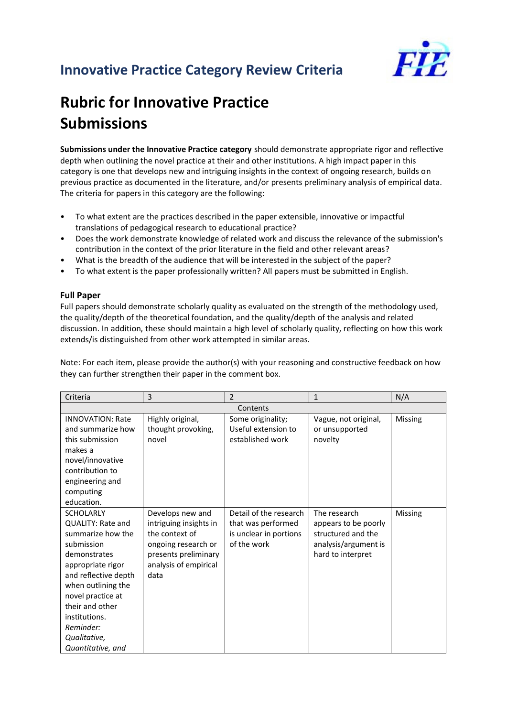## **Innovative Practice Category Review Criteria**



## **Rubric for Innovative Practice Submissions**

**Submissions under the Innovative Practice category** should demonstrate appropriate rigor and reflective depth when outlining the novel practice at their and other institutions. A high impact paper in this category is one that develops new and intriguing insights in the context of ongoing research, builds on previous practice as documented in the literature, and/or presents preliminary analysis of empirical data. The criteria for papers in this category are the following:

- To what extent are the practices described in the paper extensible, innovative or impactful translations of pedagogical research to educational practice?
- Does the work demonstrate knowledge of related work and discuss the relevance of the submission's contribution in the context of the prior literature in the field and other relevant areas?
- What is the breadth of the audience that will be interested in the subject of the paper?
- To what extent is the paper professionally written? All papers must be submitted in English.

## **Full Paper**

Full papers should demonstrate scholarly quality as evaluated on the strength of the methodology used, the quality/depth of the theoretical foundation, and the quality/depth of the analysis and related discussion. In addition, these should maintain a high level of scholarly quality, reflecting on how this work extends/is distinguished from other work attempted in similar areas.

Note: For each item, please provide the author(s) with your reasoning and constructive feedback on how they can further strengthen their paper in the comment box.

| Criteria                                                                                                                                                                                                                                                                      | 3                                                                                                                                            | $\overline{2}$                                                                        | 1                                                                                                       | N/A     |  |  |
|-------------------------------------------------------------------------------------------------------------------------------------------------------------------------------------------------------------------------------------------------------------------------------|----------------------------------------------------------------------------------------------------------------------------------------------|---------------------------------------------------------------------------------------|---------------------------------------------------------------------------------------------------------|---------|--|--|
| Contents                                                                                                                                                                                                                                                                      |                                                                                                                                              |                                                                                       |                                                                                                         |         |  |  |
| <b>INNOVATION: Rate</b><br>and summarize how<br>this submission<br>makes a<br>novel/innovative<br>contribution to<br>engineering and<br>computing<br>education.                                                                                                               | Highly original,<br>thought provoking,<br>novel                                                                                              | Some originality;<br>Useful extension to<br>established work                          | Vague, not original,<br>or unsupported<br>novelty                                                       | Missing |  |  |
| <b>SCHOLARLY</b><br><b>QUALITY: Rate and</b><br>summarize how the<br>submission<br>demonstrates<br>appropriate rigor<br>and reflective depth<br>when outlining the<br>novel practice at<br>their and other<br>institutions.<br>Reminder:<br>Qualitative,<br>Quantitative, and | Develops new and<br>intriguing insights in<br>the context of<br>ongoing research or<br>presents preliminary<br>analysis of empirical<br>data | Detail of the research<br>that was performed<br>is unclear in portions<br>of the work | The research<br>appears to be poorly<br>structured and the<br>analysis/argument is<br>hard to interpret | Missing |  |  |